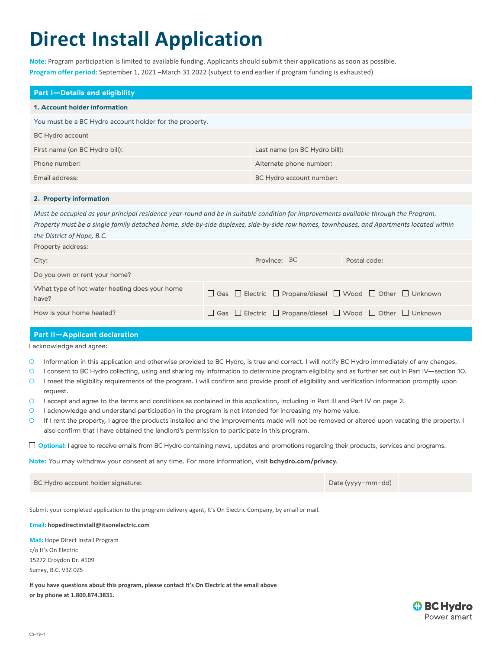# **Direct Install Application**

**Note:** Program participation is limited to available funding. Applicants should submit their applications as soon as possible. **Program offer period:** September 1, 2021 –March 31 2022 (subject to end earlier if program funding is exhausted)

| <b>Part I-Details and eligibility</b>                   |                               |  |  |  |
|---------------------------------------------------------|-------------------------------|--|--|--|
| 1. Account holder information                           |                               |  |  |  |
| You must be a BC Hydro account holder for the property. |                               |  |  |  |
| BC Hydro account                                        |                               |  |  |  |
| First name (on BC Hydro bill):                          | Last name (on BC Hydro bill): |  |  |  |
| Phone number:                                           | Alternate phone number:       |  |  |  |
| Email address:                                          | BC Hydro account number:      |  |  |  |

## **2. Property information**

*Must be occupied as your principal residence year-round and be in suitable condition for improvements available through the Program. Property must be a single family detached home, side-by-side duplexes, side-by-side row homes, townhouses, and Apartments located within the District of Hope, B.C.*

| Property address:                                      |                                                                                          |              |  |
|--------------------------------------------------------|------------------------------------------------------------------------------------------|--------------|--|
| City:                                                  | Province: BC                                                                             | Postal code: |  |
| Do you own or rent your home?                          |                                                                                          |              |  |
| What type of hot water heating does your home<br>have? | $\Box$ Gas $\Box$ Electric $\Box$ Propane/diesel $\Box$ Wood $\Box$ Other $\Box$ Unknown |              |  |
| How is your home heated?                               | $\Box$ Gas $\Box$ Electric $\Box$ Propane/diesel $\Box$ Wood $\Box$ Other $\Box$ Unknown |              |  |

# **Part II—Applicant declaration**

I acknowledge and agree:

- Information in this application and otherwise provided to BC Hydro, is true and correct. I will notify BC Hydro immediately of any changes.
- I consent to BC Hydro collecting, using and sharing my information to determine program eligibility and as further set out in Part IV—section 10.
- I meet the eligibility requirements of the program. I will confirm and provide proof of eligibility and verification information promptly upon request.
- I accept and agree to the terms and conditions as contained in this application, including in Part III and Part IV on page 2.
- I acknowledge and understand participation in the program is not intended for increasing my home value.
- If I rent the property, I agree the products installed and the improvements made will not be removed or altered upon vacating the property. I also confirm that I have obtained the landlord's permission to participate in this program.

**Optional:** I agree to receive emails from BC Hydro containing news, updates and promotions regarding their products, services and programs.

**Note:** You may withdraw your consent at any time. For more information, visit **bchydro.com/privacy**.

| BC Hydro account holder signature: | Date (yyyy-mm-dd) |  |
|------------------------------------|-------------------|--|
|------------------------------------|-------------------|--|

Submit your completed application to the program delivery agent, It's On Electric Company, by email or mail.

#### **Email: hopedirectinstall@itsonelectric.com**

**Mail:** Hope Direct Install Program c/o It's On Electric 15272 Croydon Dr. #109 Surrey, B.C. V3Z 0Z5

**If you have questions about this program, please contact It's On Electric at the email above or by phone at 1.800.874.3831.**